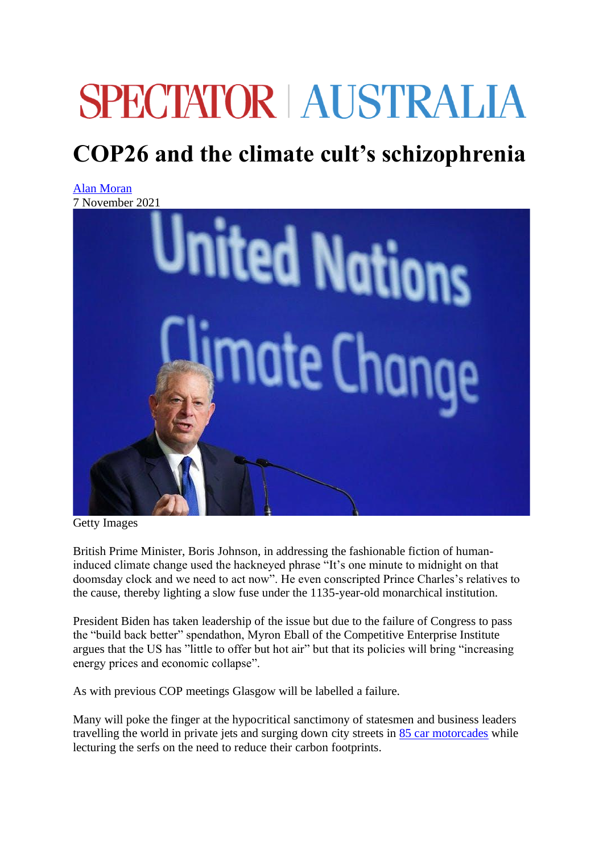## **SPECTATOR | AUSTRALIA**

## **COP26 and the climate cult's schizophrenia**

[Alan Moran](https://spectator.com.au/author/alanmoran/) 7 November 2021



Getty Images

British Prime Minister, Boris Johnson, in addressing the fashionable fiction of humaninduced climate change used the hackneyed phrase "It's one minute to midnight on that doomsday clock and we need to act now". He even conscripted Prince Charles's relatives to the cause, thereby lighting a slow fuse under the 1135-year-old monarchical institution.

President Biden has taken leadership of the issue but due to the failure of Congress to pass the "build back better" spendathon, Myron Eball of the Competitive Enterprise Institute argues that the US has "little to offer but hot air" but that its policies will bring "increasing energy prices and economic collapse".

As with previous COP meetings Glasgow will be labelled a failure.

Many will poke the finger at the hypocritical sanctimony of statesmen and business leaders travelling the world in private jets and surging down city streets in 85 [car motorcades](https://www.youtube.com/watch?v=DCS2d9lPyo8) while lecturing the serfs on the need to reduce their carbon footprints.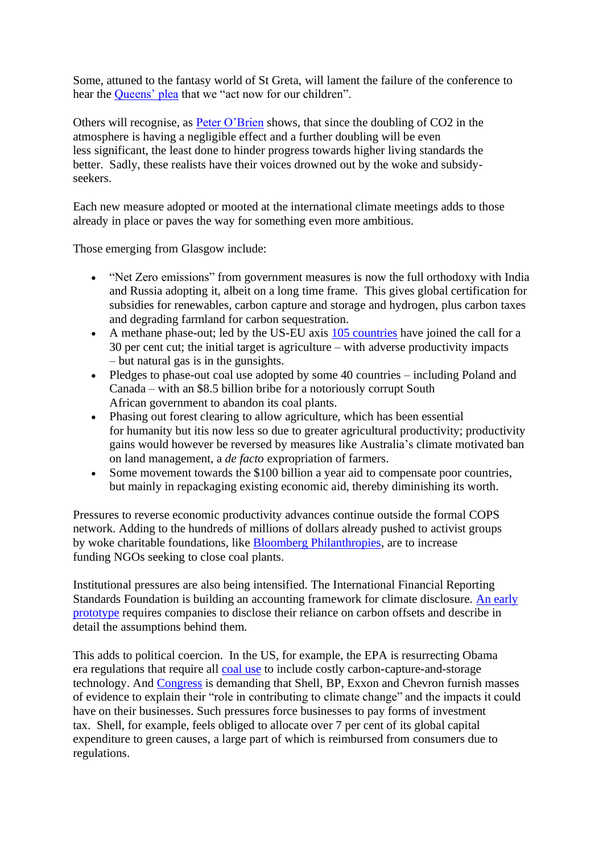Some, attuned to the fantasy world of St Greta, will lament the failure of the conference to hear the [Queens' plea](https://www.bbc.com/news/uk-59125350) that we "act now for our children".

Others will recognise, as [Peter O'Brien](https://spectator.com.au/2021/11/the-logic-behind-net-zero/) shows, that since the doubling of CO2 in the atmosphere is having a negligible effect and a further doubling will be even less significant, the least done to hinder progress towards higher living standards the better. Sadly, these realists have their voices drowned out by the woke and subsidyseekers.

Each new measure adopted or mooted at the international climate meetings adds to those already in place or paves the way for something even more ambitious.

Those emerging from Glasgow include:

- "Net Zero emissions" from government measures is now the full orthodoxy with India and Russia adopting it, albeit on a long time frame. This gives global certification for subsidies for renewables, carbon capture and storage and hydrogen, plus carbon taxes and degrading farmland for carbon sequestration.
- A methane phase-out; led by the US-EU axis [105 countries](https://www.newscientist.com/article/2295810-cop26-105-countries-pledge-to-cut-methane-emissions-by-30-per-cent/) have joined the call for a 30 per cent cut; the initial target is agriculture – with adverse productivity impacts – but natural gas is in the gunsights.
- Pledges to phase-out coal use adopted by some 40 countries including Poland and Canada – with an \$8.5 billion bribe for a notoriously corrupt South African government to abandon its coal plants.
- Phasing out forest clearing to allow agriculture, which has been essential for humanity but itis now less so due to greater agricultural productivity; productivity gains would however be reversed by measures like Australia's climate motivated ban on land management, a *de facto* expropriation of farmers.
- Some movement towards the \$100 billion a year aid to compensate poor countries, but mainly in repackaging existing economic aid, thereby diminishing its worth.

Pressures to reverse economic productivity advances continue outside the formal COPS network. Adding to the hundreds of millions of dollars already pushed to activist groups by woke charitable foundations, like [Bloomberg Philanthropies,](https://www.bloomberg.org/press/bloomberg-global-coal-countdown-2-0-reveals-state-of-global-coal-detailed-by-country-for-cop26-climate-negotiations/) are to increase funding NGOs seeking to close coal plants.

Institutional pressures are also being intensified. The International Financial Reporting Standards Foundation is building an accounting framework for climate disclosure. An [early](https://www.ifrs.org/content/dam/ifrs/groups/trwg/trwg-climate-related-disclosures-prototype.pdf)  [prototype](https://www.ifrs.org/content/dam/ifrs/groups/trwg/trwg-climate-related-disclosures-prototype.pdf) requires companies to disclose their reliance on carbon offsets and describe in detail the assumptions behind them.

This adds to political coercion. In the US, for example, the EPA is resurrecting Obama era regulations that require all **[coal use](https://www.power-technology.com/news/industry-news/us-supreme-court-epa-clean-power-plan/)** to include costly carbon-capture-and-storage technology. And [Congress](https://thehill.com/policy/energy-environment/579671-oversight-committee-chair-subpoenas-top-oil-companies) is demanding that Shell, BP, Exxon and Chevron furnish masses of evidence to explain their "role in contributing to climate change" and the impacts it could have on their businesses. Such pressures force businesses to pay forms of investment tax. Shell, for example, feels obliged to allocate over 7 per cent of its global capital expenditure to green causes, a large part of which is reimbursed from consumers due to regulations.